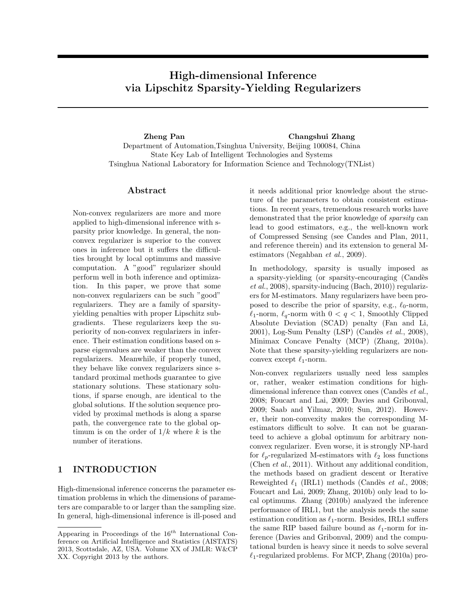# High-dimensional Inference via Lipschitz Sparsity-Yielding Regularizers

Zheng Pan Changshui Zhang Department of Automation,Tsinghua University, Beijing 100084, China State Key Lab of Intelligent Technologies and Systems Tsinghua National Laboratory for Information Science and Technology(TNList)

### Abstract

Non-convex regularizers are more and more applied to high-dimensional inference with sparsity prior knowledge. In general, the nonconvex regularizer is superior to the convex ones in inference but it suffers the difficulties brought by local optimums and massive computation. A "good" regularizer should perform well in both inference and optimization. In this paper, we prove that some non-convex regularizers can be such "good" regularizers. They are a family of sparsityyielding penalties with proper Lipschitz subgradients. These regularizers keep the superiority of non-convex regularizers in inference. Their estimation conditions based on sparse eigenvalues are weaker than the convex regularizers. Meanwhile, if properly tuned, they behave like convex regularizers since standard proximal methods guarantee to give stationary solutions. These stationary solutions, if sparse enough, are identical to the global solutions. If the solution sequence provided by proximal methods is along a sparse path, the convergence rate to the global optimum is on the order of  $1/k$  where k is the number of iterations.

## 1 INTRODUCTION

High-dimensional inference concerns the parameter estimation problems in which the dimensions of parameters are comparable to or larger than the sampling size. In general, high-dimensional inference is ill-posed and it needs additional prior knowledge about the structure of the parameters to obtain consistent estimations. In recent years, tremendous research works have demonstrated that the prior knowledge of sparsity can lead to good estimators, e.g., the well-known work of Compressed Sensing (see Candes and Plan, 2011, and reference therein) and its extension to general Mestimators (Negahban et al., 2009).

In methodology, sparsity is usually imposed as a sparsity-yielding (or sparsity-encouraging (Candès et al., 2008), sparsity-inducing (Bach, 2010)) regularizers for M-estimators. Many regularizers have been proposed to describe the prior of sparsity, e.g.,  $\ell_0$ -norm,  $\ell_1$ -norm,  $\ell_q$ -norm with  $0 < q < 1$ , Smoothly Clipped Absolute Deviation (SCAD) penalty (Fan and Li, 2001), Log-Sum Penalty (LSP) (Candès et al., 2008), Minimax Concave Penalty (MCP) (Zhang, 2010a). Note that these sparsity-yielding regularizers are nonconvex except  $\ell_1$ -norm.

Non-convex regularizers usually need less samples or, rather, weaker estimation conditions for highdimensional inference than convex ones (Candès et al., 2008; Foucart and Lai, 2009; Davies and Gribonval, 2009; Saab and Yilmaz, 2010; Sun, 2012). However, their non-convexity makes the corresponding Mestimators difficult to solve. It can not be guaranteed to achieve a global optimum for arbitrary nonconvex regularizer. Even worse, it is strongly NP-hard for  $\ell_p$ -regularized M-estimators with  $\ell_2$  loss functions (Chen et al., 2011). Without any additional condition, the methods based on gradient descent or Iterative Reweighted  $\ell_1$  (IRL1) methods (Candès et al., 2008; Foucart and Lai, 2009; Zhang, 2010b) only lead to local optimums. Zhang (2010b) analyzed the inference performance of IRL1, but the analysis needs the same estimation condition as  $\ell_1$ -norm. Besides, IRL1 suffers the same RIP based failure bound as  $\ell_1$ -norm for inference (Davies and Gribonval, 2009) and the computational burden is heavy since it needs to solve several  $\ell_1$ -regularized problems. For MCP, Zhang (2010a) pro-

Appearing in Proceedings of the  $16^{th}$  International Conference on Artificial Intelligence and Statistics (AISTATS) 2013, Scottsdale, AZ, USA. Volume XX of JMLR: W&CP XX. Copyright 2013 by the authors.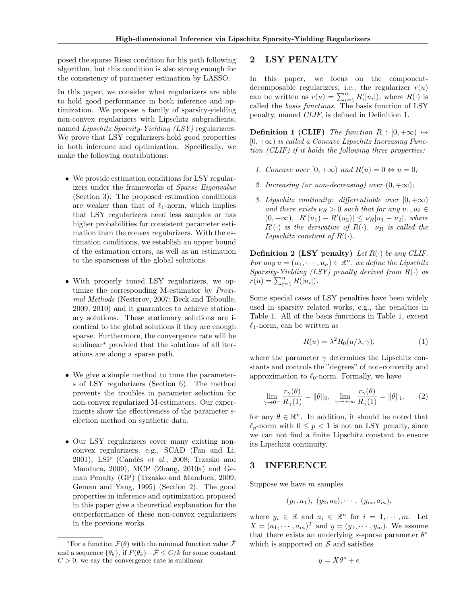posed the sparse Riesz condition for his path following algorithm, but this condition is also strong enough for the consistency of parameter estimation by LASSO.

In this paper, we consider what regularizers are able to hold good performance in both inference and optimization. We propose a family of sparsity-yielding non-convex regularizers with Lipschitz subgradients, named Lipschitz Sparsity-Yielding (LSY) regularizers. We prove that LSY regularizers hold good properties in both inference and optimization. Specifically, we make the following contributions:

- We provide estimation conditions for LSY regularizers under the frameworks of Sparse Eigenvalue (Section 3). The proposed estimation conditions are weaker than that of  $\ell_1$ -norm, which implies that LSY regularizers need less samples or has higher probabilities for consistent parameter estimation than the convex regularizers. With the estimation conditions, we establish an upper bound of the estimation errors, as well as an estimation to the sparseness of the global solutions.
- With properly tuned LSY regularizers, we optimize the corresponding M-estimator by Proximal Methods (Nesterov, 2007; Beck and Teboulle, 2009, 2010) and it guarantees to achieve stationary solutions. These stationary solutions are identical to the global solutions if they are enough sparse. Furthermore, the convergence rate will be sublinear<sup>∗</sup> provided that the solutions of all iterations are along a sparse path.
- We give a simple method to tune the parameters of LSY regularizers (Section 6). The method prevents the troubles in parameter selection for non-convex regularized M-estimators. Our experiments show the effectiveness of the parameter selection method on synthetic data.
- Our LSY regularizers cover many existing nonconvex regularizers, e.g., SCAD (Fan and Li, 2001), LSP (Candès et al., 2008; Trzasko and Manduca, 2009), MCP (Zhang, 2010a) and Geman Penalty (GP) (Trzasko and Manduca, 2009; Geman and Yang, 1995) (Section 2). The good properties in inference and optimization proposed in this paper give a theoretical explanation for the outperformance of these non-convex regularizers in the previous works.

## 2 LSY PENALTY

In this paper, we focus on the componentdecomposable regularizers, i.e., the regularizer  $r(u)$ can be written as  $r(u) = \sum_{i=1}^{n} R(|u_i|)$ , where  $R(\cdot)$  is called the basis functions. The basis function of LSY penalty, named CLIF, is defined in Definition 1.

**Definition 1 (CLIF)** The function  $R : [0, +\infty) \mapsto$  $[0, +\infty)$  is called a Concave Lipschitz Increasing Function (CLIF) if it holds the following three properties:

- 1. Concave over  $[0, +\infty)$  and  $R(u) = 0 \Leftrightarrow u = 0$ ;
- 2. Increasing (or non-decreasing) over  $(0, +\infty)$ ;
- 3. Lipschitz continuity: differentiable over  $[0, +\infty)$ and there exists  $\nu_R > 0$  such that for any  $u_1, u_2 \in$  $(0, +\infty)$ ,  $|R'(u_1) - R'(u_2)| \leq \nu_R |u_1 - u_2|$ , where  $R'(\cdot)$  is the derivative of  $R(\cdot)$ .  $\nu_R$  is called the Lipschitz constant of  $R'(\cdot)$ .

**Definition 2 (LSY penalty)** Let  $R(\cdot)$  be any CLIF. For any  $u = (u_1, \dots, u_n) \in \mathbb{R}^n$ , we define the Lipschitz Sparsity-Yielding (LSY) penalty derived from  $R(\cdot)$  as  $r(u) = \sum_{i=1}^{n} R(|u_i|).$ 

Some special cases of LSY penalties have been widely used in sparsity related works, e.g., the penalties in Table 1. All of the basis functions in Table 1, except  $\ell_1$ -norm, can be written as

$$
R(u) = \lambda^2 R_0(u/\lambda; \gamma), \tag{1}
$$

where the parameter  $\gamma$  determines the Lipschitz constants and controls the "degrees" of non-convexity and approximation to  $\ell_0$ -norm. Formally, we have

$$
\lim_{\gamma \to 0^+} \frac{r_\gamma(\theta)}{R_\gamma(1)} = \|\theta\|_0, \quad \lim_{\gamma \to +\infty} \frac{r_\gamma(\theta)}{R_\gamma(1)} = \|\theta\|_1. \tag{2}
$$

for any  $\theta \in \mathbb{R}^n$ . In addition, it should be noted that  $\ell_p$ -norm with  $0 \leq p < 1$  is not an LSY penalty, since we can not find a finite Lipschitz constant to ensure its Lipschitz continuity.

## 3 INFERENCE

Suppose we have  $m$  samples

$$
(y_1, a_1), (y_2, a_2), \cdots, (y_m, a_m),
$$

where  $y_i \in \mathbb{R}$  and  $a_i \in \mathbb{R}^n$  for  $i = 1, \dots, m$ . Let  $X = (a_1, \dots, a_m)^T$  and  $y = (y_1, \dots, y_m)$ . We assume that there exists an underlying s-sparse parameter  $\theta^*$ which is supported on  $S$  and satisfies

$$
y = X\theta^* + e
$$

<sup>\*</sup>For a function  $\mathcal{F}(\theta)$  with the minimal function value  $\hat{\mathcal{F}}$ and a sequence  $\{\theta_k\}$ , if  $F(\theta_k)-\hat{\mathcal{F}} \leq C/k$  for some constant  $C > 0$ , we say the convergence rate is sublinear.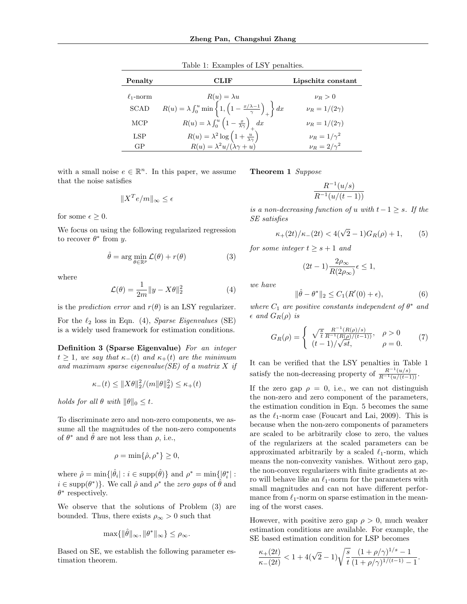| Penalty        | CLIF                                                                                                             | Lipschitz constant    |
|----------------|------------------------------------------------------------------------------------------------------------------|-----------------------|
| $\ell_1$ -norm | $R(u) = \lambda u$                                                                                               | $\nu_R>0$             |
| <b>SCAD</b>    | $R(u) = \lambda \int_0^u \min \left\{ 1, \left( 1 - \frac{x/\lambda - 1}{\gamma} \right)_+ \right\} dx$          | $\nu_B = 1/(2\gamma)$ |
| MCP            | $R(u) = \lambda \int_0^{\tilde{u}} \left(1 - \frac{x}{\lambda \gamma}\right)_+ dx$                               | $\nu_R = 1/(2\gamma)$ |
| LSP            |                                                                                                                  | $\nu_R = 1/\gamma^2$  |
| GP             | $R(u) = \lambda^2 \log \left(1 + \frac{u}{\lambda \gamma}\right)$<br>$R(u) = \lambda^2 u / (\lambda \gamma + u)$ | $\nu_R = 2/\gamma^2$  |

Table 1: Examples of LSY penalties.

with a small noise  $e \in \mathbb{R}^n$ . In this paper, we assume that the noise satisfies

$$
||X^T e/m||_{\infty} \le \epsilon
$$

for some  $\epsilon \geq 0$ .

We focus on using the following regularized regression to recover  $\theta^*$  from y.

$$
\hat{\theta} = \arg\min_{\theta \in \mathbb{R}^p} \mathcal{L}(\theta) + r(\theta) \tag{3}
$$

where

$$
\mathcal{L}(\theta) = \frac{1}{2m} ||y - X\theta||_2^2 \tag{4}
$$

is the *prediction error* and  $r(\theta)$  is an LSY regularizer.

For the  $\ell_2$  loss in Eqn. (4), Sparse Eigenvalues (SE) is a widely used framework for estimation conditions.

Definition 3 (Sparse Eigenvalue) For an integer  $t \geq 1$ , we say that  $\kappa_-(t)$  and  $\kappa_+(t)$  are the minimum and maximum sparse eigenvalue(SE) of a matrix  $X$  if

$$
\kappa_{-}(t) \leq \|X\theta\|_2^2 / (m\|\theta\|_2^2) \leq \kappa_{+}(t)
$$

holds for all  $\theta$  with  $\|\theta\|_0 \leq t$ .

To discriminate zero and non-zero components, we assume all the magnitudes of the non-zero components of  $\theta^*$  and  $\hat{\theta}$  are not less than  $\rho$ , i.e.,

$$
\rho = \min\{\hat{\rho}, \rho^*\} \ge 0,
$$

where  $\hat{\rho} = \min\{|\hat{\theta}_i| : i \in \text{supp}(\hat{\theta})\}\$ and  $\rho^* = \min\{|\theta_i^*| : i \in \text{supp}(\hat{\theta})\}$  $i \in \text{supp}(\theta^*)\}$ . We call  $\hat{\rho}$  and  $\rho^*$  the *zero gaps* of  $\hat{\theta}$  and  $\theta^*$  respectively.

We observe that the solutions of Problem (3) are bounded. Thus, there exists  $\rho_{\infty} > 0$  such that

$$
\max\{\|\hat{\theta}\|_{\infty}, \|\theta^*\|_{\infty}\} \leq \rho_{\infty}.
$$

Based on SE, we establish the following parameter estimation theorem.

Theorem 1 Suppose

$$
\frac{R^{-1}(u/s)}{R^{-1}(u/(t-1))}
$$

is a non-decreasing function of u with  $t-1 \geq s$ . If the SE satisfies

$$
\kappa_+(2t)/\kappa_-(2t) < 4(\sqrt{2}-1)G_R(\rho) + 1,\tag{5}
$$

for some integer  $t \geq s+1$  and

$$
(2t-1)\frac{2\rho_{\infty}}{R(2\rho_{\infty})}\epsilon \le 1,
$$

we have

$$
\|\hat{\theta} - \theta^*\|_2 \le C_1(R'(0) + \epsilon),\tag{6}
$$

where  $C_1$  are positive constants independent of  $\theta^*$  and  $\epsilon$  and  $G_R(\rho)$  is

$$
G_R(\rho) = \begin{cases} \sqrt{\frac{s}{t}} \frac{R^{-1}(R(\rho)/s)}{R^{-1}(R(\rho)/(t-1))}, & \rho > 0\\ (t-1)/\sqrt{st}, & \rho = 0. \end{cases}
$$
(7)

It can be verified that the LSY penalties in Table 1 satisfy the non-decreasing property of  $\frac{R^{-1}(u/s)}{R^{-1}(u/(t-1))}$ .

If the zero gap  $\rho = 0$ , i.e., we can not distinguish the non-zero and zero component of the parameters, the estimation condition in Eqn. 5 becomes the same as the  $\ell_1$ -norm case (Foucart and Lai, 2009). This is because when the non-zero components of parameters are scaled to be arbitrarily close to zero, the values of the regularizers at the scaled parameters can be approximated arbitrarily by a scaled  $\ell_1$ -norm, which means the non-convexity vanishes. Without zero gap, the non-convex regularizers with finite gradients at zero will behave like an  $\ell_1$ -norm for the parameters with small magnitudes and can not have different performance from  $\ell_1$ -norm on sparse estimation in the meaning of the worst cases.

However, with positive zero gap  $\rho > 0$ , much weaker estimation conditions are available. For example, the SE based estimation condition for LSP becomes

$$
\frac{\kappa_+(2t)}{\kappa_-(2t)} < 1 + 4(\sqrt{2}-1)\sqrt{\frac{s}{t}} \frac{(1+\rho/\gamma)^{1/s}-1}{(1+\rho/\gamma)^{1/(t-1)}-1}.
$$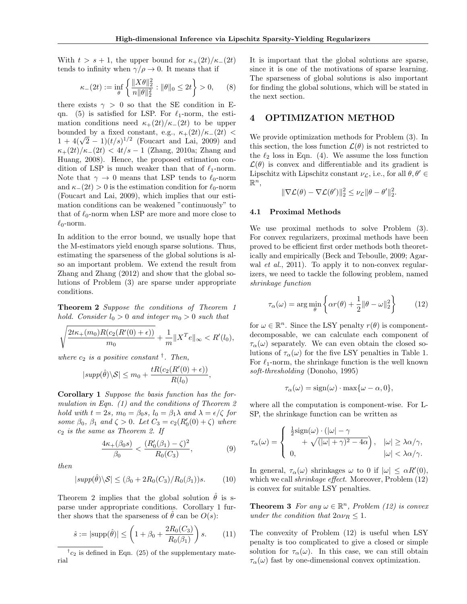With  $t > s + 1$ , the upper bound for  $\kappa_{+}(2t)/\kappa_{-}(2t)$ tends to infinity when  $\gamma/\rho \to 0$ . It means that if

$$
\kappa_{-}(2t) := \inf_{\theta} \left\{ \frac{\|X\theta\|_2^2}{n\|\theta\|_2^2} : \|\theta\|_0 \le 2t \right\} > 0, \qquad (8)
$$

there exists  $\gamma > 0$  so that the SE condition in Eqn. (5) is satisfied for LSP. For  $\ell_1$ -norm, the estimation conditions need  $\kappa_{+}(2t)/\kappa_{-}(2t)$  to be upper bounded by a fixed constant, e.g.,  $\kappa_{+}(2t)/\kappa_{-}(2t)$  < bounded by a fixed constant, e.g.,  $\kappa_{+}(2t)/\kappa_{-}(2t) < 1 + 4(\sqrt{2}-1)(t/s)^{1/2}$  (Foucart and Lai, 2009) and  $\kappa_{+}(2t)/\kappa_{-}(2t) < 4t/s - 1$  (Zhang, 2010a; Zhang and Huang, 2008). Hence, the proposed estimation condition of LSP is much weaker than that of  $\ell_1$ -norm. Note that  $\gamma \to 0$  means that LSP tends to  $\ell_0$ -norm and  $\kappa_-(2t) > 0$  is the estimation condition for  $\ell_0$ -norm (Foucart and Lai, 2009), which implies that our estimation conditions can be weakened "continuously" to that of  $\ell_0$ -norm when LSP are more and more close to  $\ell_0$ -norm.

In addition to the error bound, we usually hope that the M-estimators yield enough sparse solutions. Thus, estimating the sparseness of the global solutions is also an important problem. We extend the result from Zhang and Zhang (2012) and show that the global solutions of Problem (3) are sparse under appropriate conditions.

Theorem 2 Suppose the conditions of Theorem 1 hold. Consider  $l_0 > 0$  and integer  $m_0 > 0$  such that

$$
\sqrt{\frac{2t\kappa_+(m_0)R(c_2(R'(0)+\epsilon))}{m_0}} + \frac{1}{m} \|X^T e\|_{\infty} < R'(l_0),
$$

where  $c_2$  is a positive constant  $\dagger$ . Then,

$$
|supp(\hat{\theta})\backslash \mathcal{S}| \le m_0 + \frac{tR(c_2(R'(0) + \epsilon))}{R(l_0)}
$$

Corollary 1 Suppose the basis function has the formulation in Eqn. (1) and the conditions of Theorem 2 hold with  $t = 2s$ ,  $m_0 = \beta_0 s$ ,  $l_0 = \beta_1 \lambda$  and  $\lambda = \epsilon/\zeta$  for some  $\beta_0$ ,  $\beta_1$  and  $\zeta > 0$ . Let  $C_3 = c_2(R'_0(0) + \zeta)$  where  $c_2$  is the same as Theorem 2. If

$$
\frac{4\kappa_+(\beta_0 s)}{\beta_0} < \frac{(R'_0(\beta_1) - \zeta)^2}{R_0(C_3)},\tag{9}
$$

,

then

$$
|supp(\hat{\theta})\backslash \mathcal{S}| \le (\beta_0 + 2R_0(C_3)/R_0(\beta_1))s. \tag{10}
$$

Theorem 2 implies that the global solution  $\hat{\theta}$  is sparse under appropriate conditions. Corollary 1 further shows that the sparseness of  $\theta$  can be  $O(s)$ :

$$
\hat{s} := |\text{supp}(\hat{\theta})| \le \left(1 + \beta_0 + \frac{2R_0(C_3)}{R_0(\beta_1)}\right)s. \tag{11}
$$

 $\phi^{\dagger}c_2$  is defined in Eqn. (25) of the supplementary material

It is important that the global solutions are sparse, since it is one of the motivations of sparse learning. The sparseness of global solutions is also important for finding the global solutions, which will be stated in the next section.

### 4 OPTIMIZATION METHOD

We provide optimization methods for Problem (3). In this section, the loss function  $\mathcal{L}(\theta)$  is not restricted to the  $\ell_2$  loss in Eqn. (4). We assume the loss function  $\mathcal{L}(\theta)$  is convex and differentiable and its gradient is Lipschitz with Lipschitz constant  $\nu_{\mathcal{L}}$ , i.e., for all  $\theta, \theta' \in$  $\mathbb{R}^n$ 

$$
\|\nabla \mathcal{L}(\theta) - \nabla \mathcal{L}(\theta')\|_2^2 \leq \nu_{\mathcal{L}} \|\theta - \theta'\|_2^2.
$$

### 4.1 Proximal Methods

We use proximal methods to solve Problem (3). For convex regularizers, proximal methods have been proved to be efficient first order methods both theoretically and empirically (Beck and Teboulle, 2009; Agarwal *et al.*, 2011). To apply it to non-convex regularizers, we need to tackle the following problem, named shrinkage function

$$
\tau_{\alpha}(\omega) = \arg\min_{\theta} \left\{ \alpha r(\theta) + \frac{1}{2} ||\theta - \omega||_2^2 \right\} \tag{12}
$$

for  $\omega \in \mathbb{R}^n$ . Since the LSY penalty  $r(\theta)$  is componentdecomposable, we can calculate each component of  $\tau_{\alpha}(\omega)$  separately. We can even obtain the closed solutions of  $\tau_{\alpha}(\omega)$  for the five LSY penalties in Table 1. For  $\ell_1$ -norm, the shrinkage function is the well known soft-thresholding (Donoho, 1995)

$$
\tau_{\alpha}(\omega) = \text{sign}(\omega) \cdot \max\{\omega - \alpha, 0\},\
$$

where all the computation is component-wise. For L-SP, the shrinkage function can be written as

$$
\tau_{\alpha}(\omega) = \begin{cases}\n\frac{1}{2}\text{sign}(\omega) \cdot (|\omega| - \gamma) \\
+ \sqrt{(|\omega| + \gamma)^2 - 4\alpha}\n\end{cases}, \quad |\omega| \ge \lambda \alpha/\gamma,
$$
\n
$$
|\omega| < \lambda \alpha/\gamma.
$$

In general,  $\tau_{\alpha}(\omega)$  shrinkages  $\omega$  to 0 if  $|\omega| \leq \alpha R'(0)$ , which we call *shrinkage effect*. Moreover, Problem  $(12)$ is convex for suitable LSY penalties.

**Theorem 3** For any  $\omega \in \mathbb{R}^n$ , Problem (12) is convex under the condition that  $2\alpha \nu_R \leq 1$ .

The convexity of Problem (12) is useful when LSY penalty is too complicated to give a closed or simple solution for  $\tau_{\alpha}(\omega)$ . In this case, we can still obtain  $\tau_{\alpha}(\omega)$  fast by one-dimensional convex optimization.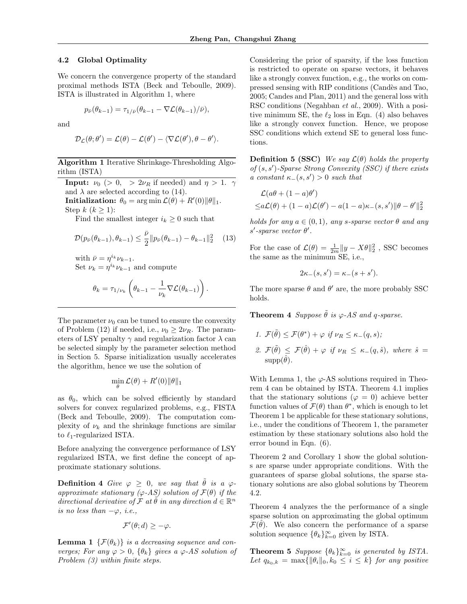#### 4.2 Global Optimality

We concern the convergence property of the standard proximal methods ISTA (Beck and Teboulle, 2009). ISTA is illustrated in Algorithm 1, where

$$
p_{\bar{\nu}}(\theta_{k-1}) = \tau_{1/\bar{\nu}}(\theta_{k-1} - \nabla \mathcal{L}(\theta_{k-1})/\bar{\nu}),
$$

and

$$
\mathcal{D}_{\mathcal{L}}(\theta; \theta') = \mathcal{L}(\theta) - \mathcal{L}(\theta') - \langle \nabla \mathcal{L}(\theta'), \theta - \theta' \rangle.
$$

### Algorithm 1 Iterative Shrinkage-Thresholding Algorithm (ISTA)

**Input:**  $\nu_0$  (> 0, >  $2\nu_R$  if needed) and  $\eta > 1$ . and  $\lambda$  are selected according to (14). **Initialization:**  $\theta_0 = \arg \min \mathcal{L}(\theta) + R'(0) \|\theta\|_1$ . Step  $k$   $(k \geq 1)$ :

Find the smallest integer  $i_k \geq 0$  such that

$$
\mathcal{D}(p_{\bar{\nu}}(\theta_{k-1}), \theta_{k-1}) \leq \frac{\bar{\nu}}{2} || p_{\bar{\nu}}(\theta_{k-1}) - \theta_{k-1} ||_2^2 \quad (13)
$$

with  $\bar{\nu} = \eta^{i_k} \nu_{k-1}$ . Set  $\nu_k = \eta^{i_k} \nu_{k-1}$  and compute

$$
\theta_k = \tau_{1/\nu_k} \left( \theta_{k-1} - \frac{1}{\nu_k} \nabla \mathcal{L}(\theta_{k-1}) \right).
$$

The parameter  $\nu_0$  can be tuned to ensure the convexity of Problem (12) if needed, i.e.,  $\nu_0 \geq 2\nu_R$ . The parameters of LSY penalty  $\gamma$  and regularization factor  $\lambda$  can be selected simply by the parameter selection method in Section 5. Sparse initialization usually accelerates the algorithm, hence we use the solution of

$$
\min_{\theta} \mathcal{L}(\theta) + R'(0) \|\theta\|_1
$$

as  $\theta_0$ , which can be solved efficiently by standard solvers for convex regularized problems, e.g., FISTA (Beck and Teboulle, 2009). The computation complexity of  $\nu_k$  and the shrinkage functions are similar to  $\ell_1$ -regularized ISTA.

Before analyzing the convergence performance of LSY regularized ISTA, we first define the concept of approximate stationary solutions.

**Definition 4** Give  $\varphi > 0$ , we say that  $\hat{\theta}$  is a  $\varphi$ approximate stationary ( $\varphi$ -AS) solution of  $\mathcal{F}(\theta)$  if the directional derivative of  $\mathcal F$  at  $\widetilde{\theta}$  in any direction  $d \in \mathbb{R}^n$ is no less than  $-\varphi$ , i.e.,

$$
\mathcal{F}'(\theta; d) \geq -\varphi.
$$

**Lemma 1**  $\{\mathcal{F}(\theta_k)\}\$ is a decreasing sequence and converges; For any  $\varphi > 0$ ,  $\{\theta_k\}$  gives a  $\varphi$ -AS solution of Problem (3) within finite steps.

Considering the prior of sparsity, if the loss function is restricted to operate on sparse vectors, it behaves like a strongly convex function, e.g., the works on compressed sensing with RIP conditions (Candès and Tao, 2005; Candes and Plan, 2011) and the general loss with RSC conditions (Negahban et al., 2009). With a positive minimum SE, the  $\ell_2$  loss in Eqn. (4) also behaves like a strongly convex function. Hence, we propose SSC conditions which extend SE to general loss functions.

**Definition 5 (SSC)** We say  $\mathcal{L}(\theta)$  holds the property of  $(s, s')$ -Sparse Strong Convexity (SSC) if there exists a constant  $\kappa_-(s, s') > 0$  such that

$$
\mathcal{L}(a\theta + (1 - a)\theta')
$$
  
\n
$$
\leq a\mathcal{L}(\theta) + (1 - a)\mathcal{L}(\theta') - a(1 - a)\kappa_{-}(s, s')\|\theta - \theta'\|_{2}^{2}
$$

holds for any  $a \in (0,1)$ , any s-sparse vector  $\theta$  and any  $s'$ -sparse vector  $\theta'$ .

For the case of  $\mathcal{L}(\theta) = \frac{1}{2m} ||y - X\theta||_2^2$ , SSC becomes the same as the minimum SE, i.e.,

$$
2\kappa_{-}(s,s') = \kappa_{-}(s+s').
$$

The more sparse  $\theta$  and  $\theta'$  are, the more probably SSC holds.

**Theorem 4** Suppose  $\tilde{\theta}$  is  $\varphi$ -AS and q-sparse.

1.  $\mathcal{F}(\tilde{\theta}) \leq \mathcal{F}(\theta^*) + \varphi \text{ if } \nu_R \leq \kappa_-(q,s);$ 2.  $\mathcal{F}(\tilde{\theta}) \leq \mathcal{F}(\hat{\theta}) + \varphi$  if  $\nu_R \leq \kappa_-(q,\hat{s})$ , where  $\hat{s} =$  $supp(\theta)$ .

With Lemma 1, the  $\varphi$ -AS solutions required in Theorem 4 can be obtained by ISTA. Theorem 4.1 implies that the stationary solutions ( $\varphi = 0$ ) achieve better function values of  $\mathcal{F}(\theta)$  than  $\theta^*$ , which is enough to let Theorem 1 be applicable for these stationary solutions, i.e., under the conditions of Theorem 1, the parameter estimation by these stationary solutions also hold the error bound in Eqn. (6).

Theorem 2 and Corollary 1 show the global solutions are sparse under appropriate conditions. With the guarantees of sparse global solutions, the sparse stationary solutions are also global solutions by Theorem 4.2.

Theorem 4 analyzes the the performance of a single sparse solution on approximating the global optimum  $\mathcal{F}(\hat{\theta})$ . We also concern the performance of a sparse solution sequence  $\{\theta_k\}_{k=0}^{\infty}$  given by ISTA.

**Theorem 5** Suppose  $\{\theta_k\}_{k=0}^{\infty}$  is generated by ISTA. Let  $q_{k_0,k} = \max{\{\|\theta_i\|_0, k_0 \leq i \leq k\}}$  for any positive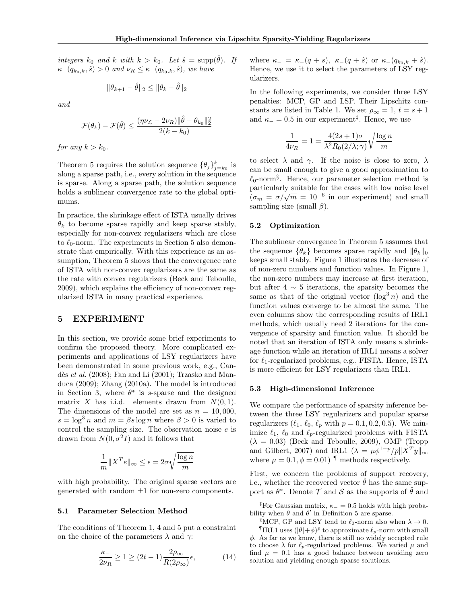integers  $k_0$  and k with  $k > k_0$ . Let  $\hat{s} = \text{supp}(\hat{\theta})$ . If  $\kappa_{-}(q_{k_0,k}, \hat{s}) > 0$  and  $\nu_R \leq \kappa_{-}(q_{k_0,k}, \hat{s})$ , we have

$$
\|\theta_{k+1} - \hat{\theta}\|_2 \le \|\theta_k - \hat{\theta}\|_2
$$

and

$$
\mathcal{F}(\theta_k) - \mathcal{F}(\hat{\theta}) \le \frac{(\eta \nu_{\mathcal{L}} - 2\nu_R) ||\hat{\theta} - \theta_{k_0}||_2^2}{2(k - k_0)}
$$

for any  $k > k_0$ .

Theorem 5 requires the solution sequence  $\{\theta_j\}_{j=k_0}^k$  is along a sparse path, i.e., every solution in the sequence is sparse. Along a sparse path, the solution sequence holds a sublinear convergence rate to the global optimums.

In practice, the shrinkage effect of ISTA usually drives  $\theta_k$  to become sparse rapidly and keep sparse stably, especially for non-convex regularizers which are close to  $\ell_0$ -norm. The experiments in Section 5 also demonstrate that empirically. With this experience as an assumption, Theorem 5 shows that the convergence rate of ISTA with non-convex regularizers are the same as the rate with convex regularizers (Beck and Teboulle, 2009), which explains the efficiency of non-convex regularized ISTA in many practical experience.

### 5 EXPERIMENT

In this section, we provide some brief experiments to confirm the proposed theory. More complicated experiments and applications of LSY regularizers have been demonstrated in some previous work, e.g., Candès et al.  $(2008)$ ; Fan and Li  $(2001)$ ; Trzasko and Manduca (2009); Zhang (2010a). The model is introduced in Section 3, where  $\theta^*$  is s-sparse and the designed matrix X has i.i.d. elements drawn from  $N(0, 1)$ . The dimensions of the model are set as  $n = 10,000$ ,  $s = \log^3 n$  and  $m = \beta s \log n$  where  $\beta > 0$  is varied to control the sampling size. The observation noise  $e$  is drawn from  $N(0, \sigma^2 I)$  and it follows that

$$
\frac{1}{m} \|X^T e\|_{\infty} \le \epsilon = 2\sigma \sqrt{\frac{\log n}{m}}
$$

with high probability. The original sparse vectors are generated with random  $\pm 1$  for non-zero components.

### 5.1 Parameter Selection Method

The conditions of Theorem 1, 4 and 5 put a constraint on the choice of the parameters  $\lambda$  and  $\gamma$ :

$$
\frac{\kappa_{-}}{2\nu_{R}} \ge 1 \ge (2t - 1) \frac{2\rho_{\infty}}{R(2\rho_{\infty})} \epsilon,
$$
\n(14)

where  $\kappa_- = \kappa_-(q+s), \; \kappa_-(q+\hat{s})$  or  $\kappa_-(q_{k_0,k}+\hat{s}).$ Hence, we use it to select the parameters of LSY regularizers.

In the following experiments, we consider three LSY penalties: MCP, GP and LSP. Their Lipschitz constants are listed in Table 1. We set  $\rho_{\infty} = 1, t = s + 1$ and  $\kappa = 0.5$  in our experiment<sup>‡</sup>. Hence, we use

$$
\frac{1}{4\nu_R} = 1 = \frac{4(2s+1)\sigma}{\lambda^2 R_0(2/\lambda; \gamma)} \sqrt{\frac{\log n}{m}}
$$

to select  $\lambda$  and  $\gamma$ . If the noise is close to zero,  $\lambda$ can be small enough to give a good approximation to  $\ell_0$ -norm<sup>§</sup>. Hence, our parameter selection method is particularly suitable for the cases with low noise level particularly suitable for the cases with low holder level<br>  $(\sigma_m = \sigma/\sqrt{m} = 10^{-6}$  in our experiment) and small sampling size (small  $\beta$ ).

#### 5.2 Optimization

The sublinear convergence in Theorem 5 assumes that the sequence  $\{\theta_k\}$  becomes sparse rapidly and  $\|\theta_k\|_0$ keeps small stably. Figure 1 illustrates the decrease of of non-zero numbers and function values. In Figure 1, the non-zero numbers may increase at first iteration, but after  $4 \sim 5$  iterations, the sparsity becomes the same as that of the original vector  $(\log^3 n)$  and the function values converge to be almost the same. The even columns show the corresponding results of IRL1 methods, which usually need 2 iterations for the convergence of sparsity and function value. It should be noted that an iteration of ISTA only means a shrinkage function while an iteration of IRL1 means a solver for  $\ell_1$ -regularized problems, e.g., FISTA. Hence, ISTA is more efficient for LSY regularizers than IRL1.

#### 5.3 High-dimensional Inference

We compare the performance of sparsity inference between the three LSY regularizers and popular sparse regularizers  $(\ell_1, \ell_0, \ell_p \text{ with } p = 0.1, 0.2, 0.5)$ . We minimize  $\ell_1$ ,  $\ell_0$  and  $\ell_p$ -regularized problems with FISTA  $(\lambda = 0.03)$  (Beck and Teboulle, 2009), OMP (Tropp and Gilbert, 2007) and IRL1 ( $\lambda = \mu \phi^{1-p} / p \| X^T y \|_{\infty}$ where  $\mu = 0.1, \phi = 0.01$  | methods respectively.

First, we concern the problems of support recovery, i.e., whether the recovered vector  $\hat{\theta}$  has the same support as  $\theta^*$ . Denote  $\mathcal T$  and  $\mathcal S$  as the supports of  $\hat \theta$  and

<sup>&</sup>lt;sup>‡</sup>For Gaussian matrix,  $\kappa_+ = 0.5$  holds with high probability when  $\theta$  and  $\theta'$  in Definition 5 are sparse.

<sup>&</sup>lt;sup>§</sup>MCP, GP and LSY tend to  $\ell_0$ -norm also when  $\lambda \to 0$ .

 $\P$ IRL1 uses  $(|\theta| + \phi)^p$  to approximate  $\ell_p$ -norm with small  $\phi$ . As far as we know, there is still no widely accepted rule to choose  $\lambda$  for  $\ell_p$ -regularized problems. We varied  $\mu$  and find  $\mu = 0.1$  has a good balance between avoiding zero solution and yielding enough sparse solutions.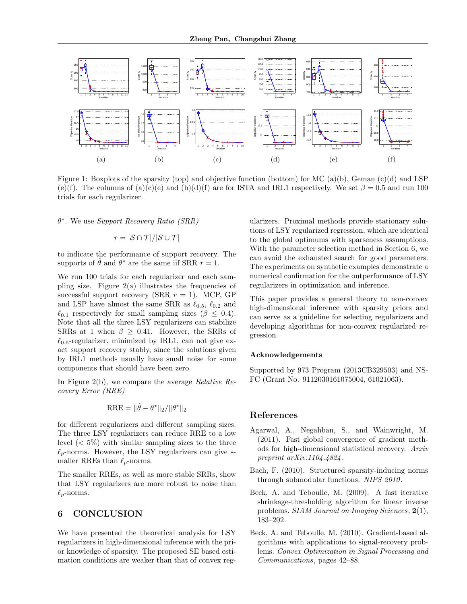

Figure 1: Boxplots of the sparsity (top) and objective function (bottom) for MC (a)(b), Geman (c)(d) and LSP (e)(f). The columns of (a)(c)(e) and (b)(d)(f) are for ISTA and IRL1 respectively. We set  $\beta = 0.5$  and run 100 trials for each regularizer.

θ ∗ . We use Support Recovery Ratio (SRR)

$$
r = |\mathcal{S} \cap \mathcal{T}| / |\mathcal{S} \cup \mathcal{T}|
$$

to indicate the performance of support recovery. The supports of  $\hat{\theta}$  and  $\theta^*$  are the same iif SRR  $r = 1$ .

We run 100 trials for each regularizer and each sampling size. Figure  $2(a)$  illustrates the frequencies of successful support recovery (SRR  $r = 1$ ). MCP, GP and LSP have almost the same SRR as  $\ell_{0.5}$ ,  $\ell_{0.2}$  and  $\ell_{0.1}$  respectively for small sampling sizes ( $\beta \leq 0.4$ ). Note that all the three LSY regularizers can stabilize SRRs at 1 when  $\beta \geq 0.41$ . However, the SRRs of  $\ell_{0.5}$ -regularizer, minimized by IRL1, can not give exact support recovery stably, since the solutions given by IRL1 methods usually have small noise for some components that should have been zero.

In Figure 2(b), we compare the average Relative Recovery Error (RRE)

$$
RRE = \|\hat{\theta} - \theta^*\|_2 / \|\theta^*\|_2
$$

for different regularizers and different sampling sizes. The three LSY regularizers can reduce RRE to a low level  $(< 5\%)$  with similar sampling sizes to the three  $\ell_p$ -norms. However, the LSY regularizers can give smaller RREs than  $\ell_p$ -norms.

The smaller RREs, as well as more stable SRRs, show that LSY regularizers are more robust to noise than  $\ell_p$ -norms.

## 6 CONCLUSION

We have presented the theoretical analysis for LSY regularizers in high-dimensional inference with the prior knowledge of sparsity. The proposed SE based estimation conditions are weaker than that of convex regularizers. Proximal methods provide stationary solutions of LSY regularized regression, which are identical to the global optimums with sparseness assumptions. With the parameter selection method in Section 6, we can avoid the exhausted search for good parameters. The experiments on synthetic examples demonstrate a numerical confirmation for the outperformance of LSY regularizers in optimization and inference.

This paper provides a general theory to non-convex high-dimensional inference with sparsity priors and can serve as a guideline for selecting regularizers and developing algorithms for non-convex regularized regression.

### Acknowledgements

Supported by 973 Program (2013CB329503) and NS-FC (Grant No. 9112030161075004, 61021063).

### References

- Agarwal, A., Negahban, S., and Wainwright, M. (2011). Fast global convergence of gradient methods for high-dimensional statistical recovery. Arxiv preprint arXiv:1104.4824 .
- Bach, F. (2010). Structured sparsity-inducing norms through submodular functions. NIPS 2010.
- Beck, A. and Teboulle, M. (2009). A fast iterative shrinkage-thresholding algorithm for linear inverse problems. *SIAM Journal on Imaging Sciences*,  $2(1)$ , 183–202.
- Beck, A. and Teboulle, M. (2010). Gradient-based algorithms with applications to signal-recovery problems. Convex Optimization in Signal Processing and Communications, pages 42–88.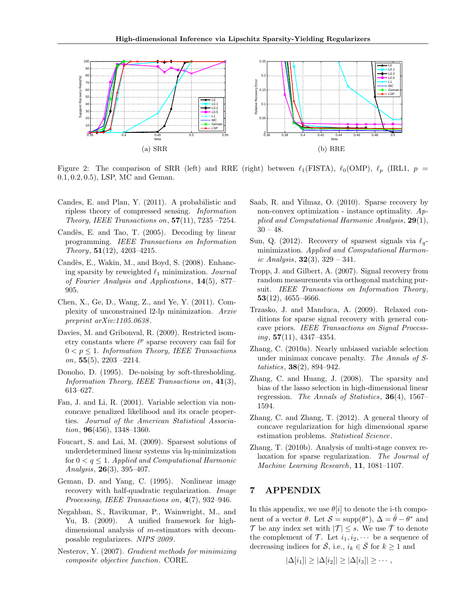

Figure 2: The comparison of SRR (left) and RRE (right) between  $\ell_1(FISTA)$ ,  $\ell_0(OMP)$ ,  $\ell_p$  (IRL1,  $p =$ 0.1, 0.2, 0.5), LSP, MC and Geman.

- Candes, E. and Plan, Y. (2011). A probabilistic and ripless theory of compressed sensing. Information Theory, IEEE Transactions on,  $57(11)$ ,  $7235 - 7254$ .
- Candès, E. and Tao, T. (2005). Decoding by linear programming. IEEE Transactions on Information Theory, 51(12), 4203–4215.
- Candès, E., Wakin, M., and Boyd, S. (2008). Enhancing sparsity by reweighted  $\ell_1$  minimization. Journal of Fourier Analysis and Applications, 14(5), 877– 905.
- Chen, X., Ge, D., Wang, Z., and Ye, Y. (2011). Complexity of unconstrained l2-lp minimization. Arxiv preprint arXiv:1105.0638 .
- Davies, M. and Gribonval, R. (2009). Restricted isometry constants where  $\ell^p$  sparse recovery can fail for  $0 < p \leq 1$ . Information Theory, IEEE Transactions on,  $55(5)$ ,  $2203 - 2214$ .
- Donoho, D. (1995). De-noising by soft-thresholding. Information Theory, IEEE Transactions on,  $41(3)$ , 613–627.
- Fan, J. and Li, R. (2001). Variable selection via nonconcave penalized likelihood and its oracle properties. Journal of the American Statistical Associa*tion*, **96**(456), 1348–1360.
- Foucart, S. and Lai, M. (2009). Sparsest solutions of underdetermined linear systems via lq-minimization for  $0 < q \leq 1$ . Applied and Computational Harmonic Analysis, 26(3), 395–407.
- Geman, D. and Yang, C. (1995). Nonlinear image recovery with half-quadratic regularization. *Image* Processing, IEEE Transactions on, 4(7), 932–946.
- Negahban, S., Ravikumar, P., Wainwright, M., and Yu, B. (2009). A unified framework for highdimensional analysis of m-estimators with decomposable regularizers. NIPS 2009 .
- Nesterov, Y. (2007). Gradient methods for minimizing composite objective function. CORE.
- Saab, R. and Yilmaz, O. (2010). Sparse recovery by non-convex optimization - instance optimality.  $Ap$ plied and Computational Harmonic Analysis,  $29(1)$ ,  $30 - 48.$
- Sun, Q. (2012). Recovery of sparsest signals via  $\ell_q$ minimization. Applied and Computational Harmonic Analysis,  $32(3)$ ,  $329 - 341$ .
- Tropp, J. and Gilbert, A. (2007). Signal recovery from random measurements via orthogonal matching pursuit. IEEE Transactions on Information Theory, 53(12), 4655–4666.
- Trzasko, J. and Manduca, A. (2009). Relaxed conditions for sparse signal recovery with general concave priors. IEEE Transactions on Signal Process $inq$ , 57(11), 4347–4354.
- Zhang, C. (2010a). Nearly unbiased variable selection under minimax concave penalty. The Annals of Statistics, 38(2), 894–942.
- Zhang, C. and Huang, J. (2008). The sparsity and bias of the lasso selection in high-dimensional linear regression. The Annals of Statistics,  $36(4)$ , 1567– 1594.
- Zhang, C. and Zhang, T. (2012). A general theory of concave regularization for high dimensional sparse estimation problems. Statistical Science.
- Zhang, T. (2010b). Analysis of multi-stage convex relaxation for sparse regularization. The Journal of Machine Learning Research, 11, 1081–1107.

## 7 APPENDIX

In this appendix, we use  $\theta[i]$  to denote the i-th component of a vector  $\theta$ . Let  $\mathcal{S} = \text{supp}(\theta^*)$ ,  $\Delta = \hat{\theta} - \theta^*$  and  $\mathcal T$  be any index set with  $|\mathcal T| \leq s$ . We use  $\bar{\mathcal T}$  to denote the complement of  $\mathcal{T}$ . Let  $i_1, i_2, \cdots$  be a sequence of decreasing indices for  $\overline{S}$ , i.e.,  $i_k \in \overline{S}$  for  $k \ge 1$  and

$$
|\Delta[i_1]| \geq |\Delta[i_2]| \geq |\Delta[i_3]| \geq \cdots,
$$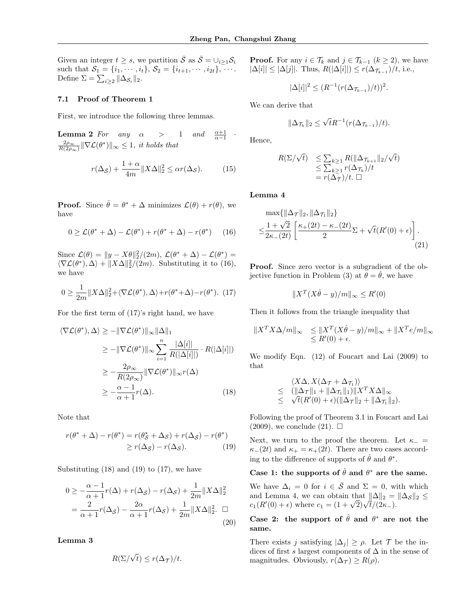·

Given an integer  $t \geq s$ , we partition  $\overline{S}$  as  $\overline{S} = \bigcup_{i \geq 1} S_i$ such that  $S_1 = \{i_1, \dots, i_t\}, S_2 = \{i_{t+1}, \dots, i_{2t}\}, \dots$ . Define  $\Sigma = \sum_{i \geq 2} ||\Delta_{\mathcal{S}_i}||_2$ .

### 7.1 Proof of Theorem 1

First, we introduce the following three lemmas.

**Lemma 2** For any  $\alpha$  > 1 and  $\alpha-1$  $\frac{2\rho_{\infty}}{R(2\rho_{\infty})} \|\nabla \mathcal{L}(\theta^*)\|_{\infty} \leq 1$ , it holds that

$$
r(\Delta_{\bar{S}}) + \frac{1+\alpha}{4m} \|X\Delta\|_2^2 \le \alpha r(\Delta_{\mathcal{S}}). \tag{15}
$$

**Proof.** Since  $\hat{\theta} = \theta^* + \Delta$  minimizes  $\mathcal{L}(\theta) + r(\theta)$ , we have

$$
0 \ge \mathcal{L}(\theta^* + \Delta) - \mathcal{L}(\theta^*) + r(\theta^* + \Delta) - r(\theta^*) \tag{16}
$$

Since  $\mathcal{L}(\theta) = ||y - X\theta||_2^2/(2m), \mathcal{L}(\theta^* + \Delta) - \mathcal{L}(\theta^*)$  $\langle \nabla \mathcal{L}(\theta^*), \Delta \rangle + ||X\Delta||_2^2/(2m)$ . Substituting it to (16), we have

$$
0 \ge \frac{1}{2m} \|X\Delta\|_2^2 + \langle \nabla \mathcal{L}(\theta^*), \Delta \rangle + r(\theta^* + \Delta) - r(\theta^*). \tag{17}
$$

For the first term of (17)'s right hand, we have

$$
\langle \nabla \mathcal{L}(\theta^*), \Delta \rangle \ge -\|\nabla \mathcal{L}(\theta^*)\|_{\infty} \|\Delta\|_{1}
$$
  
\n
$$
\ge -\|\nabla \mathcal{L}(\theta^*)\|_{\infty} \sum_{i=1}^{n} \frac{|\Delta[i]|}{R(|\Delta[i]|)} \cdot R(|\Delta[i]|)
$$
  
\n
$$
\ge -\frac{2\rho_{\infty}}{R(2\rho_{\infty})} \|\nabla \mathcal{L}(\theta^*)\|_{\infty} r(\Delta)
$$
  
\n
$$
\ge -\frac{\alpha - 1}{\alpha + 1} r(\Delta). \tag{18}
$$

Note that

$$
r(\theta^* + \Delta) - r(\theta^*) = r(\theta^*_{\mathcal{S}} + \Delta_{\mathcal{S}}) + r(\Delta_{\bar{\mathcal{S}}}) - r(\theta^*)
$$
  
\n
$$
\ge r(\Delta_{\bar{\mathcal{S}}}) - r(\Delta_{\mathcal{S}}). \tag{19}
$$

Substituting  $(18)$  and  $(19)$  to  $(17)$ , we have

$$
0 \ge -\frac{\alpha - 1}{\alpha + 1} r(\Delta) + r(\Delta_{\bar{S}}) - r(\Delta_{S}) + \frac{1}{2m} ||X\Delta||_2^2
$$
  
= 
$$
\frac{2}{\alpha + 1} r(\Delta_{\bar{S}}) - \frac{2\alpha}{\alpha + 1} r(\Delta_{S}) + \frac{1}{2m} ||X\Delta||_2^2.
$$
 (20)

Lemma 3

$$
R(\Sigma/\sqrt{t}) \le r(\Delta_{\bar{\mathcal{T}}})/t.
$$

**Proof.** For any  $i \in \mathcal{T}_k$  and  $j \in \mathcal{T}_{k-1}$   $(k \geq 2)$ , we have  $|\Delta[i]| \leq |\Delta[j]|$ . Thus,  $R(|\Delta[i]|) \leq r(\Delta_{\mathcal{T}_{k-1}})/t$ , i.e.,

$$
|\Delta[i]|^2 \le (R^{-1}(r(\Delta_{\mathcal{T}_{k-1}})/t))^2.
$$

We can derive that

$$
\|\Delta_{\mathcal{T}_k}\|_2 \leq \sqrt{t}R^{-1}(r(\Delta_{\mathcal{T}_{k-1}})/t).
$$

Hence,

$$
R(\Sigma/\sqrt{t}) \leq \sum_{k\geq 1} R(\|\Delta_{\mathcal{T}_{k+1}}\|_2/\sqrt{t})
$$
  
\n
$$
\leq \sum_{k\geq 1} r(\Delta_{\mathcal{T}_k})/t
$$
  
\n
$$
= r(\Delta_{\mathcal{T}})/t. \square
$$

Lemma 4

$$
\max\{\|\Delta_{\mathcal{T}}\|_2, \|\Delta_{\mathcal{T}_n}\|_2\}
$$

$$
\leq \frac{1+\sqrt{2}}{2\kappa_-(2t)} \left[ \frac{\kappa_+(2t) - \kappa_-(2t)}{2} \Sigma + \sqrt{t}(R'(0) + \epsilon) \right].
$$
\n(21)

Proof. Since zero vector is a subgradient of the objective function in Problem (3) at  $\theta = \hat{\theta}$ , we have

$$
||X^T(X\hat{\theta} - y)/m||_{\infty} \le R'(0)
$$

Then it follows from the triangle inequality that

$$
||X^T X \Delta/m||_{\infty} \le ||X^T (X \hat{\theta} - y)/m||_{\infty} + ||X^T e/m||_{\infty}
$$
  
\$\le R'(0) + \epsilon\$.

We modify Eqn. (12) of Foucart and Lai (2009) to that

$$
\langle X\Delta, X(\Delta_{\mathcal{T}} + \Delta_{\mathcal{T}_1}) \rangle
$$
  
\n
$$
\leq (||\Delta_{\mathcal{T}}||_1 + ||\Delta_{\mathcal{T}_1}||_1) ||X^T X \Delta||_{\infty}
$$
  
\n
$$
\leq \sqrt{t}(R'(0) + \epsilon)(||\Delta_{\mathcal{T}}||_2 + ||\Delta_{\mathcal{T}_1}||_2).
$$

Following the proof of Theorem 3.1 in Foucart and Lai  $(2009)$ , we conclude  $(21)$ .  $\Box$ 

Next, we turn to the proof the theorem. Let  $\kappa_-$  =  $\kappa_-(2t)$  and  $\kappa_+ = \kappa_+(2t)$ . There are two cases according to the difference of supports of  $\hat{\theta}$  and  $\theta^*$ .

## Case 1: the supports of  $\hat{\theta}$  and  $\theta^*$  are the same.

We have  $\Delta_i = 0$  for  $i \in \overline{S}$  and  $\Sigma = 0$ , with which and Lemma 4, we can obtain that  $\|\Delta\|_2 = \|\Delta_{\mathcal{S}}\|_2 \le$ and Lemma 4, we can obtain that  $\|\Delta\|_2 = c_1(R'(0) + \epsilon)$  where  $c_1 = (1 + \sqrt{2})\sqrt{t/(2\kappa_{-})}$ .

## Case 2: the support of  $\hat{\theta}$  and  $\theta^*$  are not the same.

There exists j satisfying  $|\Delta_i| \geq \rho$ . Let  $\mathcal T$  be the indices of first s largest components of  $\Delta$  in the sense of magnitudes. Obviously,  $r(\Delta_{\mathcal{T}}) \geq R(\rho)$ .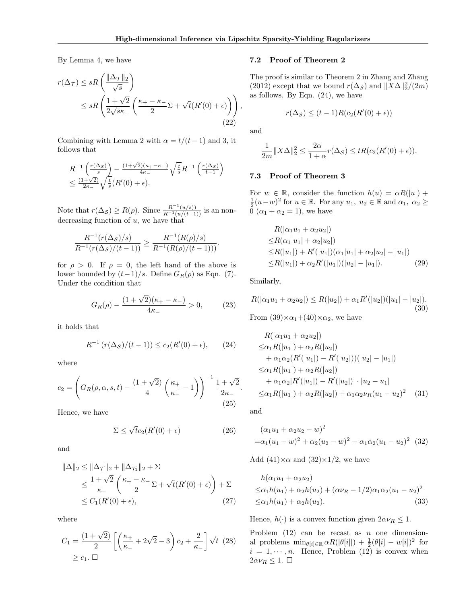,

By Lemma 4, we have

$$
r(\Delta_{\mathcal{T}}) \le sR\left(\frac{\|\Delta_{\mathcal{T}}\|_{2}}{\sqrt{s}}\right)
$$
  

$$
\le sR\left(\frac{1+\sqrt{2}}{2\sqrt{s}\kappa_{-}}\left(\frac{\kappa_{+}-\kappa_{-}}{2}\Sigma+\sqrt{t}(R'(0)+\epsilon)\right)\right)
$$
  
(22)

Combining with Lemma 2 with  $\alpha = t/(t-1)$  and 3, it follows that

$$
R^{-1}\left(\frac{r(\Delta s)}{s}\right) - \frac{(1+\sqrt{2})(\kappa_+ - \kappa_-)}{4\kappa_-} \sqrt{\frac{t}{s}} R^{-1}\left(\frac{r(\Delta s)}{t-1}\right)
$$
  

$$
\leq \frac{(1+\sqrt{2})}{2\kappa_-} \sqrt{\frac{t}{s}} (R'(0) + \epsilon).
$$

Note that  $r(\Delta_{\mathcal{S}}) \ge R(\rho)$ . Since  $\frac{R^{-1}(u/s))}{R^{-1}(u/(t-1))}$  is an nondecreasing function of  $u$ , we have that

$$
\frac{R^{-1}(r(\Delta_{\mathcal{S}})/s)}{R^{-1}(r(\Delta_{\mathcal{S}})/(t-1))} \geq \frac{R^{-1}(R(\rho)/s)}{R^{-1}(R(\rho)/(t-1)))}.
$$

for  $\rho > 0$ . If  $\rho = 0$ , the left hand of the above is lower bounded by  $(t-1)/s$ . Define  $G_R(\rho)$  as Eqn. (7). Under the condition that

$$
G_R(\rho) - \frac{(1+\sqrt{2})(\kappa_+ - \kappa_-)}{4\kappa_-} > 0, \tag{23}
$$

it holds that

$$
R^{-1}(r(\Delta_{\mathcal{S}})/(t-1)) \le c_2(R'(0) + \epsilon), \qquad (24)
$$

where

$$
c_2 = \left( G_R(\rho, \alpha, s, t) - \frac{(1 + \sqrt{2})}{4} \left( \frac{\kappa_+}{\kappa_-} - 1 \right) \right)^{-1} \frac{1 + \sqrt{2}}{2\kappa_-}
$$
\n(25)

Hence, we have

$$
\Sigma \le \sqrt{t}c_2(R'(0) + \epsilon) \tag{26}
$$

and

$$
\|\Delta\|_2 \le \|\Delta_{\mathcal{T}}\|_2 + \|\Delta_{\mathcal{T}_1}\|_2 + \Sigma
$$
  
\n
$$
\le \frac{1 + \sqrt{2}}{\kappa_-} \left( \frac{\kappa_+ - \kappa_-}{2} \Sigma + \sqrt{t} (R'(0) + \epsilon) \right) + \Sigma
$$
  
\n
$$
\le C_1 (R'(0) + \epsilon), \tag{27}
$$

where

$$
C_1 = \frac{(1+\sqrt{2})}{2} \left[ \left( \frac{\kappa_+}{\kappa_-} + 2\sqrt{2} - 3 \right) c_2 + \frac{2}{\kappa_-} \right] \sqrt{t} \tag{28}
$$
  

$$
\geq c_1. \quad \Box
$$

### 7.2 Proof of Theorem 2

The proof is similar to Theorem 2 in Zhang and Zhang (2012) except that we bound  $r(\Delta_{\mathcal{S}})$  and  $||X\Delta||_2^2/(2m)$ as follows. By Eqn. (24), we have

$$
r(\Delta_{\mathcal{S}}) \le (t-1)R(c_2(R'(0) + \epsilon))
$$

and

$$
\frac{1}{2m}||X\Delta||_2^2 \le \frac{2\alpha}{1+\alpha}r(\Delta_{\mathcal{S}}) \le tR(c_2(R'(0)+\epsilon)).
$$

### 7.3 Proof of Theorem 3

For  $w \in \mathbb{R}$ , consider the function  $h(u) = \alpha R(|u|) +$  $\frac{1}{2}(u-w)^2$  for  $u \in \mathbb{R}$ . For any  $u_1, u_2 \in \mathbb{R}$  and  $\alpha_1, \alpha_2 \geq$  $\overline{0}(\alpha_1 + \alpha_2 = 1)$ , we have

$$
R(|\alpha_1 u_1 + \alpha_2 u_2|)
$$
  
\n
$$
\leq R(\alpha_1 |u_1| + \alpha_2 |u_2|)
$$
  
\n
$$
\leq R(|u_1|) + R'(|u_1|)(\alpha_1 |u_1| + \alpha_2 |u_2| - |u_1|)
$$
  
\n
$$
\leq R(|u_1|) + \alpha_2 R'(|u_1|)(|u_2| - |u_1|).
$$
 (29)

Similarly,

$$
R(|\alpha_1 u_1 + \alpha_2 u_2|) \le R(|u_2|) + \alpha_1 R'(|u_2|)(|u_1| - |u_2|). \tag{30}
$$

From  $(39)\times\alpha_1+(40)\times\alpha_2$ , we have

$$
R(|\alpha_1 u_1 + \alpha_2 u_2|)
$$
  
\n
$$
\leq \alpha_1 R(|u_1|) + \alpha_2 R(|u_2|)
$$
  
\n
$$
+ \alpha_1 \alpha_2 (R'(|u_1|) - R'(|u_2|))(|u_2| - |u_1|)
$$
  
\n
$$
\leq \alpha_1 R(|u_1|) + \alpha_2 R(|u_2|)
$$
  
\n
$$
+ \alpha_1 \alpha_2 |R'(|u_1|) - R'(|u_2|) | \cdot |u_2 - u_1|)
$$
  
\n
$$
\leq \alpha_1 R(|u_1|) + \alpha_2 R(|u_2|) + \alpha_1 \alpha_2 \nu_R (u_1 - u_2)^2
$$
 (31)

and

.

$$
(\alpha_1 u_1 + \alpha_2 u_2 - w)^2
$$
  
= $\alpha_1 (u_1 - w)^2 + \alpha_2 (u_2 - w)^2 - \alpha_1 \alpha_2 (u_1 - u_2)^2$  (32)

Add  $(41)\times\alpha$  and  $(32)\times1/2$ , we have

$$
h(\alpha_1 u_1 + \alpha_2 u_2)
$$
  
\n
$$
\leq \alpha_1 h(u_1) + \alpha_2 h(u_2) + (\alpha \nu_R - 1/2) \alpha_1 \alpha_2 (u_1 - u_2)^2
$$
  
\n
$$
\leq \alpha_1 h(u_1) + \alpha_2 h(u_2).
$$
\n(33)

Hence,  $h(\cdot)$  is a convex function given  $2\alpha\nu_R \leq 1$ .

Problem  $(12)$  can be recast as n one dimensional problems  $\min_{\theta[i] \in \mathbb{R}} \alpha R(|\theta[i]|) + \frac{1}{2}(\theta[i] - w[i])^2$  for  $i = 1, \dots, n$ . Hence, Problem (12) is convex when  $2\alpha\nu_R \leq 1.$   $\Box$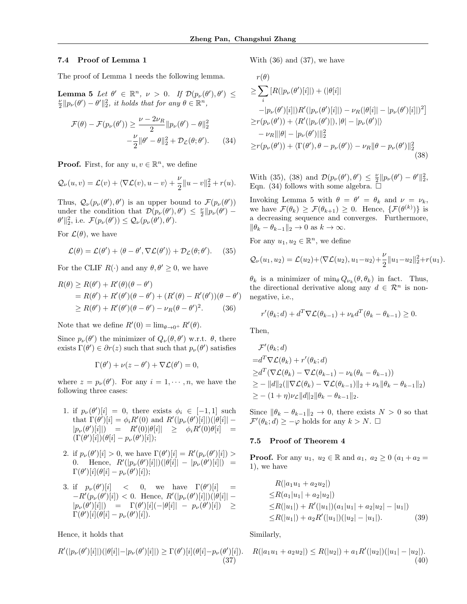### 7.4 Proof of Lemma 1

The proof of Lemma 1 needs the following lemma.

**Lemma 5** Let  $\theta' \in \mathbb{R}^n$ ,  $\nu > 0$ . If  $\mathcal{D}(p_{\nu}(\theta'), \theta') \leq$  $\frac{\nu}{2} || p_{\nu}(\theta') - \theta' ||_2^2$ , it holds that for any  $\theta \in \mathbb{R}^n$ ,

$$
\mathcal{F}(\theta) - \mathcal{F}(p_{\nu}(\theta')) \ge \frac{\nu - 2\nu_R}{2} ||p_{\nu}(\theta') - \theta||_2^2
$$

$$
-\frac{\nu}{2} ||\theta' - \theta||_2^2 + \mathcal{D}_{\mathcal{L}}(\theta; \theta'). \tag{34}
$$

**Proof.** First, for any  $u, v \in \mathbb{R}^n$ , we define

$$
\mathcal{Q}_{\nu}(u,v) = \mathcal{L}(v) + \langle \nabla \mathcal{L}(v), u - v \rangle + \frac{\nu}{2} ||u - v||_2^2 + r(u).
$$

Thus,  $\mathcal{Q}_{\nu}(p_{\nu}(\theta'), \theta')$  is an upper bound to  $\mathcal{F}(p_{\nu}(\theta'))$ under the condition that  $\mathcal{D}(p_{\nu}(\theta'), \theta') \leq \frac{\nu}{2} || p_{\nu}(\theta') \theta' \|_2^2$ , i.e.  $\mathcal{F}(p_\nu(\theta')) \leq \mathcal{Q}_\nu(p_\nu(\theta'), \theta').$ 

For  $\mathcal{L}(\theta)$ , we have

$$
\mathcal{L}(\theta) = \mathcal{L}(\theta') + \langle \theta - \theta', \nabla \mathcal{L}(\theta') \rangle + \mathcal{D}_{\mathcal{L}}(\theta; \theta'). \tag{35}
$$

For the CLIF  $R(\cdot)$  and any  $\theta, \theta' \geq 0$ , we have

$$
R(\theta) \ge R(\theta') + R'(\theta)(\theta - \theta')
$$
  
=  $R(\theta') + R'(\theta')(\theta - \theta') + (R'(\theta) - R'(\theta'))(\theta - \theta')$   
 $\ge R(\theta') + R'(\theta')(\theta - \theta') - \nu_R(\theta - \theta')^2.$  (36)

Note that we define  $R'(0) = \lim_{\theta \to 0^+} R'(\theta)$ .

Since  $p_{\nu}(\theta')$  the minimizer of  $Q_{\nu}(\theta, \theta')$  w.r.t.  $\theta$ , there exists  $\Gamma(\theta') \in \partial r(z)$  such that such that  $p_{\nu}(\theta')$  satisfies

$$
\Gamma(\theta') + \nu(z - \theta') + \nabla \mathcal{L}(\theta') = 0,
$$

where  $z = p_{\nu}(\theta')$ . For any  $i = 1, \dots, n$ , we have the following three cases:

- 1. if  $p_{\nu}(\theta')[i] = 0$ , there exists  $\phi_i \in [-1,1]$  such that  $\Gamma(\theta')[i] = \phi_i R'(0)$  and  $R'(|p_{\nu}(\theta')[i]|)(|\theta[i]| |p_{\nu}(\theta')[i]|$  =  $R'(0)|\theta[i]|$  ≥  $\phi_i R'(0)\theta[i]$  =  $(\Gamma(\theta')[i])(\theta[i]-p_{\nu}(\theta')[i]);$
- 2. if  $p_{\nu}(\theta')[i] > 0$ , we have  $\Gamma(\theta')[i] = R'(p_{\nu}(\theta')[i]) > 0$ 0. Hence,  $R'(|p_{\nu}(\theta')[i]|)(|\theta[i]| - |p_{\nu}(\theta')[i]|) =$  $\Gamma(\theta')[i](\theta[i] - p_{\nu}(\theta')[i]);$
- 3. if  $p_{\nu}(\theta')[i]$  < 0, we have  $\Gamma(\theta')[i]$  =  $-R'(p_{\nu}(\theta')[i]) < 0.$  Hence,  $R'(|p_{\nu}(\theta')[i]|)(|\theta[i]| |p_{\nu}(\theta')[i]|$  =  $\Gamma(\theta')[i](-|\theta[i]| - p_{\nu}(\theta')[i]) \ge$  $\Gamma(\theta')[i](\theta[i]-p_{\nu}(\theta')[i]).$

Hence, it holds that

$$
R'(|p_{\nu}(\theta')[i]|)(|\theta[i]|-|p_{\nu}(\theta')[i]|) \ge \Gamma(\theta')[i](\theta[i]-p_{\nu}(\theta')[i]).
$$
\n(37)

With (36) and (37), we have

$$
r(\theta)
$$
  
\n
$$
\geq \sum_{i} [R(|p_{\nu}(\theta')[i]|) + (|\theta[i]|
$$
  
\n
$$
-|p_{\nu}(\theta')[i]|)R'(|p_{\nu}(\theta')[i]|) - \nu_R(|\theta[i]| - |p_{\nu}(\theta')[i]|)^2]
$$
  
\n
$$
\geq r(p_{\nu}(\theta')) + \langle R'(|p_{\nu}(\theta')|), |\theta| - |p_{\nu}(\theta')| \rangle
$$
  
\n
$$
- \nu_R |||\theta| - |p_{\nu}(\theta')||_2^2
$$
  
\n
$$
\geq r(p_{\nu}(\theta')) + \langle \Gamma(\theta'), \theta - p_{\nu}(\theta') \rangle - \nu_R ||\theta - p_{\nu}(\theta')||_2^2
$$
  
\n(38)

With (35), (38) and  $\mathcal{D}(p_{\nu}(\theta'), \theta') \leq \frac{\nu}{2} || p_{\nu}(\theta') - \theta' ||_2^2$ , Eqn. (34) follows with some algebra.  $\square$ 

Invoking Lemma 5 with  $\theta = \theta' = \theta_k$  and  $\nu = \nu_k$ , we have  $\mathcal{F}(\theta_k) \geq \mathcal{F}(\theta_{k+1}) \geq 0$ . Hence,  $\{\mathcal{F}(\theta^{(k)})\}$  is a decreasing sequence and converges. Furthermore,  $\|\theta_k - \theta_{k-1}\|_2 \to 0$  as  $k \to \infty$ .

For any  $u_1, u_2 \in \mathbb{R}^n$ , we define

$$
\mathcal{Q}_{\nu}(u_1, u_2) = \mathcal{L}(u_2) + \langle \nabla \mathcal{L}(u_2), u_1 - u_2 \rangle + \frac{\nu}{2} ||u_1 - u_2||_2^2 + r(u_1).
$$

 $\theta_k$  is a minimizer of  $\min_{\theta} Q_{\nu_k}(\theta, \theta_k)$  in fact. Thus, the directional derivative along any  $d \in \mathcal{R}^n$  is nonnegative, i.e.,

$$
r'(\theta_k; d) + d^T \nabla \mathcal{L}(\theta_{k-1}) + \nu_k d^T(\theta_k - \theta_{k-1}) \ge 0.
$$

Then,

$$
\mathcal{F}'(\theta_k; d)
$$
  
\n
$$
=d^T \nabla \mathcal{L}(\theta_k) + r'(\theta_k; d)
$$
  
\n
$$
\geq d^T (\nabla \mathcal{L}(\theta_k) - \nabla \mathcal{L}(\theta_{k-1}) - \nu_k(\theta_k - \theta_{k-1}))
$$
  
\n
$$
\geq - ||d||_2 (||\nabla \mathcal{L}(\theta_k) - \nabla \mathcal{L}(\theta_{k-1})||_2 + \nu_k ||\theta_k - \theta_{k-1}||_2)
$$
  
\n
$$
\geq -(1 + \eta)\nu_{\mathcal{L}} ||d||_2 ||\theta_k - \theta_{k-1}||_2.
$$

Since  $\|\theta_k - \theta_{k-1}\|_2 \to 0$ , there exists  $N > 0$  so that  $\mathcal{F}'(\theta_k; d) \geq -\varphi$  holds for any  $k > N$ .  $\Box$ 

### 7.5 Proof of Theorem 4

**Proof.** For any  $u_1, u_2 \in \mathbb{R}$  and  $a_1, a_2 \ge 0$   $(a_1 + a_2 = 1)$ 1), we have

$$
R(|a_1u_1 + a_2u_2|)
$$
  
\n
$$
\leq R(a_1|u_1| + a_2|u_2|)
$$
  
\n
$$
\leq R(|u_1|) + R'(|u_1|)(a_1|u_1| + a_2|u_2| - |u_1|)
$$
  
\n
$$
\leq R(|u_1|) + a_2R'(|u_1|)(|u_2| - |u_1|).
$$
 (39)

Similarly,

$$
R(|a_1u_1 + a_2u_2|) \le R(|u_2|) + a_1R'(|u_2|)(|u_1| - |u_2|). \tag{40}
$$